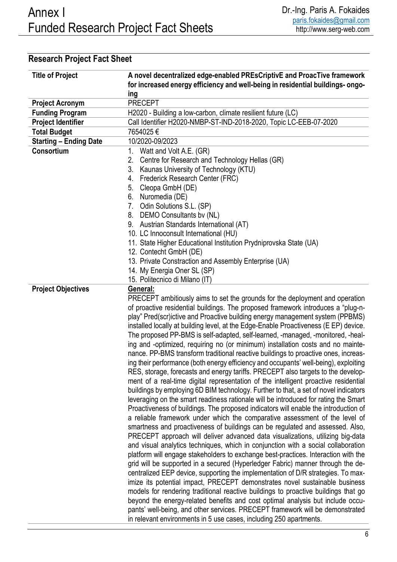| <b>Title of Project</b>       | A novel decentralized edge-enabled PREsCriptivE and ProacTive framework              |
|-------------------------------|--------------------------------------------------------------------------------------|
|                               | for increased energy efficiency and well-being in residential buildings- ongo-       |
|                               | ing                                                                                  |
| <b>Project Acronym</b>        | <b>PRECEPT</b>                                                                       |
| <b>Funding Program</b>        | H2020 - Building a low-carbon, climate resilient future (LC)                         |
| <b>Project Identifier</b>     | Call Identifier H2020-NMBP-ST-IND-2018-2020, Topic LC-EEB-07-2020                    |
| <b>Total Budget</b>           | 7654025€                                                                             |
| <b>Starting - Ending Date</b> | 10/2020-09/2023                                                                      |
| Consortium                    | 1.<br>Watt and Volt A.E. (GR)                                                        |
|                               | Centre for Research and Technology Hellas (GR)<br>2.                                 |
|                               | Kaunas University of Technology (KTU)<br>3.                                          |
|                               | Frederick Research Center (FRC)<br>4.                                                |
|                               | Cleopa GmbH (DE)<br>5.                                                               |
|                               | 6. Nuromedia (DE)                                                                    |
|                               | 7. Odin Solutions S.L. (SP)                                                          |
|                               | 8. DEMO Consultants by (NL)                                                          |
|                               | 9. Austrian Standards International (AT)                                             |
|                               | 10. LC Innoconsult International (HU)                                                |
|                               | 11. State Higher Educational Institution Prydniprovska State (UA)                    |
|                               | 12. Contecht GmbH (DE)                                                               |
|                               | 13. Private Constraction and Assembly Enterprise (UA)                                |
|                               | 14. My Energia Oner SL (SP)                                                          |
|                               | 15. Politecnico di Milano (IT)                                                       |
| <b>Project Objectives</b>     | General:                                                                             |
|                               | PRECEPT ambitiously aims to set the grounds for the deployment and operation         |
|                               | of proactive residential buildings. The proposed framework introduces a "plug-n-     |
|                               | play" Pred(scr)ictive and Proactive building energy management system (PPBMS)        |
|                               | installed locally at building level, at the Edge-Enable Proactiveness (E EP) device. |
|                               | The proposed PP-BMS is self-adapted, self-learned, -managed, -monitored, -heal-      |
|                               | ing and -optimized, requiring no (or minimum) installation costs and no mainte-      |
|                               | nance. PP-BMS transform traditional reactive buildings to proactive ones, increas-   |
|                               | ing their performance (both energy efficiency and occupants' well-being), exploiting |
|                               | RES, storage, forecasts and energy tariffs. PRECEPT also targets to the develop-     |
|                               | ment of a real-time digital representation of the intelligent proactive residential  |
|                               | buildings by employing 6D BIM technology. Further to that, a set of novel indicators |
|                               | leveraging on the smart readiness rationale will be introduced for rating the Smart  |
|                               | Proactiveness of buildings. The proposed indicators will enable the introduction of  |
|                               | a reliable framework under which the comparative assessment of the level of          |
|                               | smartness and proactiveness of buildings can be regulated and assessed. Also,        |
|                               | PRECEPT approach will deliver advanced data visualizations, utilizing big-data       |
|                               | and visual analytics techniques, which in conjunction with a social collaboration    |
|                               | platform will engage stakeholders to exchange best-practices. Interaction with the   |
|                               | grid will be supported in a secured (Hyperledger Fabric) manner through the de-      |
|                               | centralized EEP device, supporting the implementation of D/R strategies. To max-     |
|                               | imize its potential impact, PRECEPT demonstrates novel sustainable business          |
|                               | models for rendering traditional reactive buildings to proactive buildings that go   |
|                               | beyond the energy-related benefits and cost optimal analysis but include occu-       |
|                               | pants' well-being, and other services. PRECEPT framework will be demonstrated        |
|                               | in relevant environments in 5 use cases, including 250 apartments.                   |

## Research Project Fact Sheet